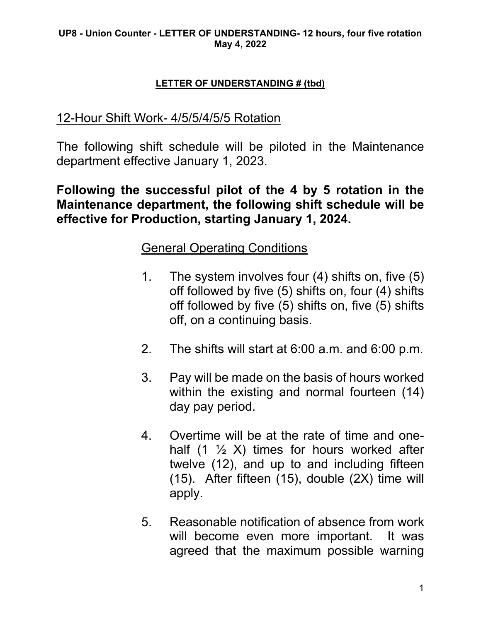### **LETTER OF UNDERSTANDING # (tbd)**

## 12-Hour Shift Work- 4/5/5/4/5/5 Rotation

The following shift schedule will be piloted in the Maintenance department effective January 1, 2023.

**Following the successful pilot of the 4 by 5 rotation in the Maintenance department, the following shift schedule will be effective for Production, starting January 1, 2024.** 

## General Operating Conditions

- 1. The system involves four (4) shifts on, five (5) off followed by five (5) shifts on, four (4) shifts off followed by five (5) shifts on, five (5) shifts off, on a continuing basis.
- 2. The shifts will start at 6:00 a.m. and 6:00 p.m.
- 3. Pay will be made on the basis of hours worked within the existing and normal fourteen (14) day pay period.
- 4. Overtime will be at the rate of time and onehalf  $(1 \frac{1}{2} X)$  times for hours worked after twelve (12), and up to and including fifteen (15). After fifteen (15), double (2X) time will apply.
- 5. Reasonable notification of absence from work will become even more important. It was agreed that the maximum possible warning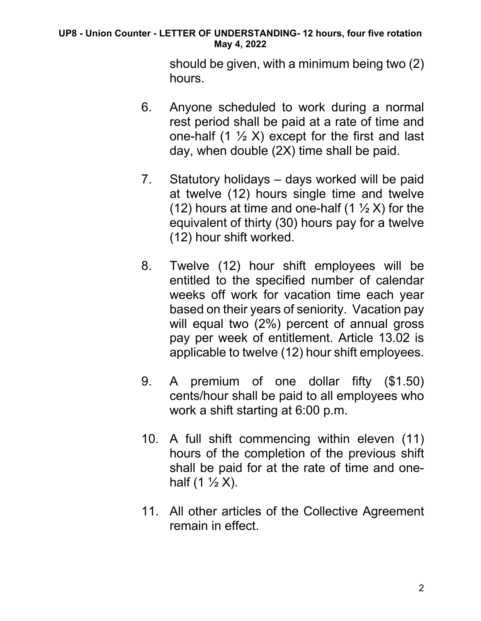#### **UP8 - Union Counter - LETTER OF UNDERSTANDING- 12 hours, four five rotation May 4, 2022**

should be given, with a minimum being two (2) hours.

- 6. Anyone scheduled to work during a normal rest period shall be paid at a rate of time and one-half  $(1 \frac{1}{2} X)$  except for the first and last day, when double (2X) time shall be paid.
- 7. Statutory holidays days worked will be paid at twelve (12) hours single time and twelve (12) hours at time and one-half (1  $\frac{1}{2}$  X) for the equivalent of thirty (30) hours pay for a twelve (12) hour shift worked.
- 8. Twelve (12) hour shift employees will be entitled to the specified number of calendar weeks off work for vacation time each year based on their years of seniority. Vacation pay will equal two (2%) percent of annual gross pay per week of entitlement. Article 13.02 is applicable to twelve (12) hour shift employees.
- 9. A premium of one dollar fifty (\$1.50) cents/hour shall be paid to all employees who work a shift starting at 6:00 p.m.
- 10. A full shift commencing within eleven (11) hours of the completion of the previous shift shall be paid for at the rate of time and onehalf  $(1 \frac{1}{2} X)$ .
- 11. All other articles of the Collective Agreement remain in effect.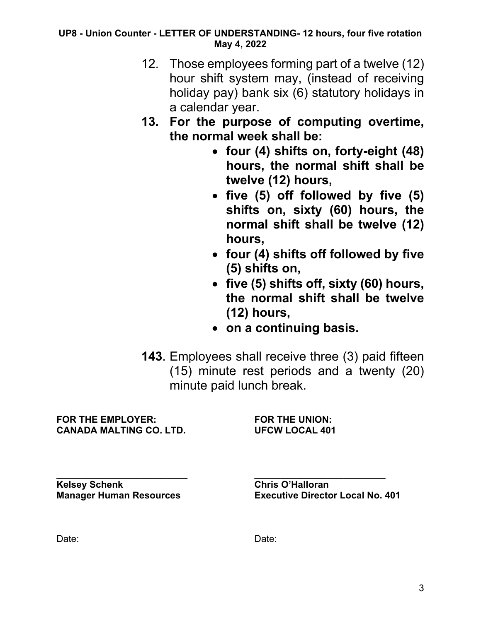#### **UP8 - Union Counter - LETTER OF UNDERSTANDING- 12 hours, four five rotation May 4, 2022**

- 12. Those employees forming part of a twelve (12) hour shift system may, (instead of receiving holiday pay) bank six (6) statutory holidays in a calendar year.
- **13. For the purpose of computing overtime, the normal week shall be:** 
	- **four (4) shifts on, forty-eight (48) hours, the normal shift shall be twelve (12) hours,**
	- **five (5) off followed by five (5) shifts on, sixty (60) hours, the normal shift shall be twelve (12) hours,**
	- **four (4) shifts off followed by five (5) shifts on,**
	- **five (5) shifts off, sixty (60) hours, the normal shift shall be twelve (12) hours,**
	- **on a continuing basis.**
- **143**. Employees shall receive three (3) paid fifteen (15) minute rest periods and a twenty (20) minute paid lunch break.

**FOR THE EMPLOYER: FOR THE UNION: CANADA MALTING CO. LTD. UFCW LOCAL 401**

**Kelsey Schenk Chris O'Halloran**

**\_\_\_\_\_\_\_\_\_\_\_\_\_\_\_\_\_\_\_\_\_\_\_\_\_ \_\_\_\_\_\_\_\_\_\_\_\_\_\_\_\_\_\_\_\_\_\_\_\_\_ Manager Human Resources Executive Director Local No. 401**

Date: **Date:** Date: **Date:** Partnership of the Unit of the Unit of the Unit of the Unit of the Unit of the Unit of the Unit of the Unit of the Unit of the Unit of the Unit of the Unit of the Unit of the Unit of the Unit of